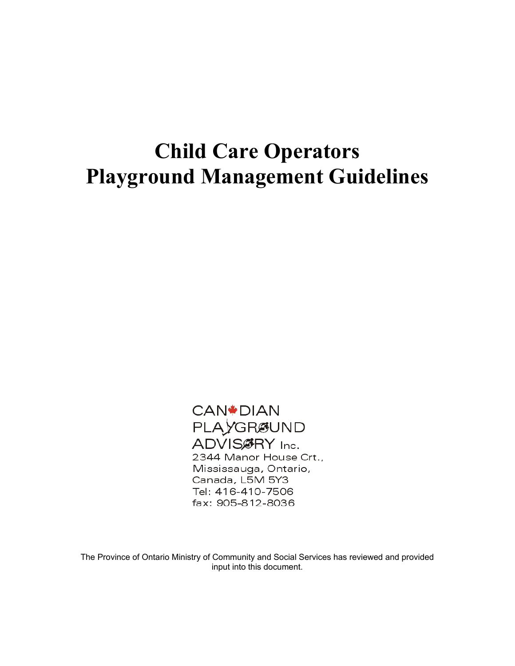**CAN<sup>\*</sup>DIAN** PLAYGRØUND ADVIS@RY Inc. 2344 Manor House Crt., Mississauga, Ontario, Canada, L5M 5Y3 Tel: 416-410-7506 fax: 905-812-8036

The Province of Ontario Ministry of Community and Social Services has reviewed and provided input into this document.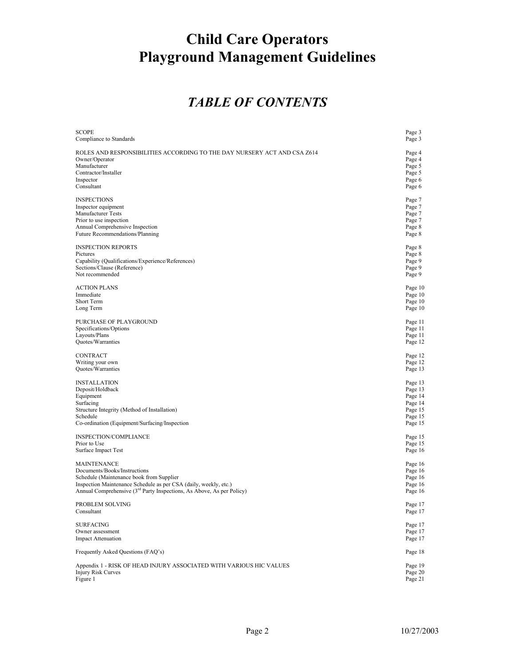### *TABLE OF CONTENTS*

| <b>SCOPE</b><br>Compliance to Standards                                                                    | Page 3<br>Page 3           |
|------------------------------------------------------------------------------------------------------------|----------------------------|
| ROLES AND RESPONSIBILITIES ACCORDING TO THE DAY NURSERY ACT AND CSA Z614<br>Owner/Operator<br>Manufacturer | Page 4<br>Page 4<br>Page 5 |
| Contractor/Installer                                                                                       | Page 5                     |
| Inspector                                                                                                  | Page 6                     |
| Consultant                                                                                                 | Page 6                     |
| <b>INSPECTIONS</b>                                                                                         | Page 7                     |
| Inspector equipment                                                                                        | Page 7                     |
| Manufacturer Tests                                                                                         | Page 7                     |
| Prior to use inspection                                                                                    | Page 7                     |
| Annual Comprehensive Inspection                                                                            | Page 8                     |
| Future Recommendations/Planning                                                                            | Page 8                     |
| <b>INSPECTION REPORTS</b>                                                                                  | Page 8                     |
| Pictures                                                                                                   | Page 8                     |
| Capability (Qualifications/Experience/References)                                                          | Page 9                     |
| Sections/Clause (Reference)<br>Not recommended                                                             | Page 9                     |
|                                                                                                            | Page 9                     |
| <b>ACTION PLANS</b>                                                                                        | Page 10                    |
| Immediate                                                                                                  | Page 10                    |
| Short Term                                                                                                 | Page 10                    |
| Long Term                                                                                                  | Page 10                    |
| PURCHASE OF PLAYGROUND                                                                                     | Page 11                    |
| Specifications/Options                                                                                     | Page 11                    |
| Layouts/Plans                                                                                              | Page 11                    |
| Quotes/Warranties                                                                                          | Page 12                    |
| CONTRACT                                                                                                   | Page 12                    |
| Writing your own                                                                                           | Page 12                    |
| Quotes/Warranties                                                                                          | Page 13                    |
| <b>INSTALLATION</b>                                                                                        | Page 13                    |
| Deposit/Holdback                                                                                           | Page 13                    |
| Equipment                                                                                                  | Page 14                    |
| Surfacing                                                                                                  | Page 14                    |
| Structure Integrity (Method of Installation)<br>Schedule                                                   | Page 15                    |
| Co-ordination (Equipment/Surfacing/Inspection                                                              | Page 15<br>Page 15         |
|                                                                                                            |                            |
| INSPECTION/COMPLIANCE                                                                                      | Page 15                    |
| Prior to Use                                                                                               | Page 15                    |
| Surface Impact Test                                                                                        | Page 16                    |
| <b>MAINTENANCE</b>                                                                                         | Page 16                    |
| Documents/Books/Instructions                                                                               | Page 16                    |
| Schedule (Maintenance book from Supplier                                                                   | Page 16                    |
| Inspection Maintenance Schedule as per CSA (daily, weekly, etc.)                                           | Page 16                    |
| Annual Comprehensive (3 <sup>rd</sup> Party Inspections, As Above, As per Policy)                          | Page 16                    |
| PROBLEM SOLVING                                                                                            | Page 17                    |
| Consultant                                                                                                 | Page 17                    |
|                                                                                                            |                            |
| <b>SURFACING</b><br>Owner assessment                                                                       | Page 17<br>Page 17         |
| <b>Impact Attenuation</b>                                                                                  | Page 17                    |
|                                                                                                            |                            |
| Frequently Asked Questions (FAQ's)                                                                         | Page 18                    |
| Appendix 1 - RISK OF HEAD INJURY ASSOCIATED WITH VARIOUS HIC VALUES                                        | Page 19                    |
| <b>Injury Risk Curves</b>                                                                                  | Page 20                    |
| Figure 1                                                                                                   | Page 21                    |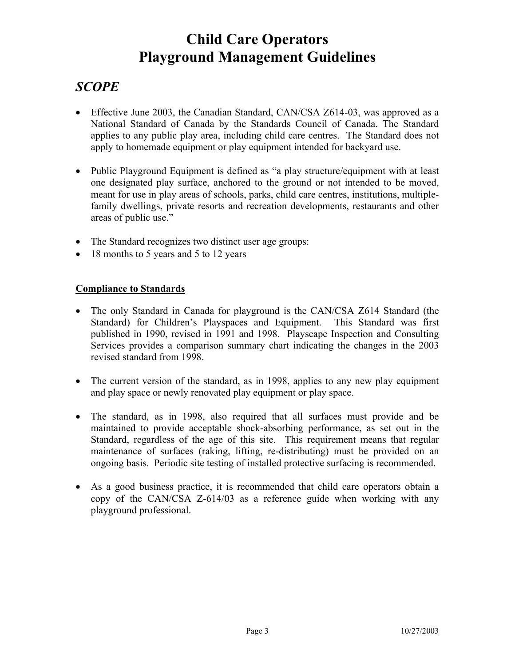### *SCOPE*

- Effective June 2003, the Canadian Standard, CAN/CSA Z614-03, was approved as a National Standard of Canada by the Standards Council of Canada. The Standard applies to any public play area, including child care centres. The Standard does not apply to homemade equipment or play equipment intended for backyard use.
- Public Playground Equipment is defined as "a play structure/equipment with at least one designated play surface, anchored to the ground or not intended to be moved, meant for use in play areas of schools, parks, child care centres, institutions, multiplefamily dwellings, private resorts and recreation developments, restaurants and other areas of public use."
- The Standard recognizes two distinct user age groups:
- 18 months to 5 years and 5 to 12 years

#### **Compliance to Standards**

- The only Standard in Canada for playground is the CAN/CSA Z614 Standard (the Standard) for Children's Playspaces and Equipment. This Standard was first published in 1990, revised in 1991 and 1998. Playscape Inspection and Consulting Services provides a comparison summary chart indicating the changes in the 2003 revised standard from 1998.
- The current version of the standard, as in 1998, applies to any new play equipment and play space or newly renovated play equipment or play space.
- The standard, as in 1998, also required that all surfaces must provide and be maintained to provide acceptable shock-absorbing performance, as set out in the Standard, regardless of the age of this site. This requirement means that regular maintenance of surfaces (raking, lifting, re-distributing) must be provided on an ongoing basis. Periodic site testing of installed protective surfacing is recommended.
- As a good business practice, it is recommended that child care operators obtain a copy of the CAN/CSA Z-614/03 as a reference guide when working with any playground professional.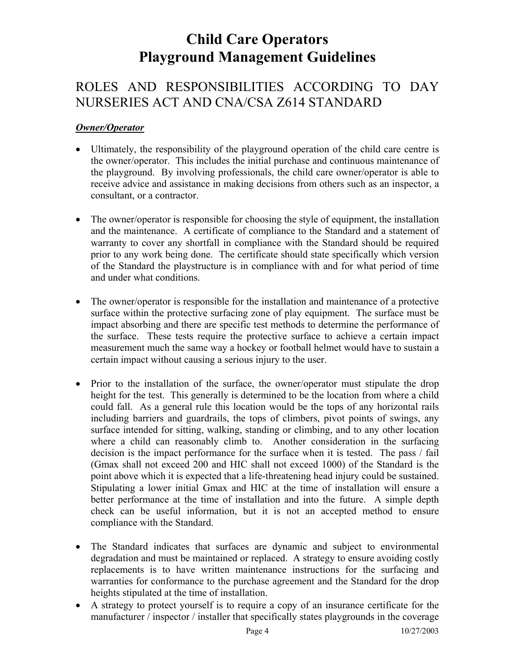### ROLES AND RESPONSIBILITIES ACCORDING TO DAY NURSERIES ACT AND CNA/CSA Z614 STANDARD

#### *Owner/Operator*

- Ultimately, the responsibility of the playground operation of the child care centre is the owner/operator. This includes the initial purchase and continuous maintenance of the playground. By involving professionals, the child care owner/operator is able to receive advice and assistance in making decisions from others such as an inspector, a consultant, or a contractor.
- The owner/operator is responsible for choosing the style of equipment, the installation and the maintenance. A certificate of compliance to the Standard and a statement of warranty to cover any shortfall in compliance with the Standard should be required prior to any work being done. The certificate should state specifically which version of the Standard the playstructure is in compliance with and for what period of time and under what conditions.
- The owner/operator is responsible for the installation and maintenance of a protective surface within the protective surfacing zone of play equipment. The surface must be impact absorbing and there are specific test methods to determine the performance of the surface. These tests require the protective surface to achieve a certain impact measurement much the same way a hockey or football helmet would have to sustain a certain impact without causing a serious injury to the user.
- Prior to the installation of the surface, the owner/operator must stipulate the drop height for the test. This generally is determined to be the location from where a child could fall. As a general rule this location would be the tops of any horizontal rails including barriers and guardrails, the tops of climbers, pivot points of swings, any surface intended for sitting, walking, standing or climbing, and to any other location where a child can reasonably climb to. Another consideration in the surfacing decision is the impact performance for the surface when it is tested. The pass / fail (Gmax shall not exceed 200 and HIC shall not exceed 1000) of the Standard is the point above which it is expected that a life-threatening head injury could be sustained. Stipulating a lower initial Gmax and HIC at the time of installation will ensure a better performance at the time of installation and into the future. A simple depth check can be useful information, but it is not an accepted method to ensure compliance with the Standard.
- The Standard indicates that surfaces are dynamic and subject to environmental degradation and must be maintained or replaced. A strategy to ensure avoiding costly replacements is to have written maintenance instructions for the surfacing and warranties for conformance to the purchase agreement and the Standard for the drop heights stipulated at the time of installation.
- A strategy to protect yourself is to require a copy of an insurance certificate for the manufacturer / inspector / installer that specifically states playgrounds in the coverage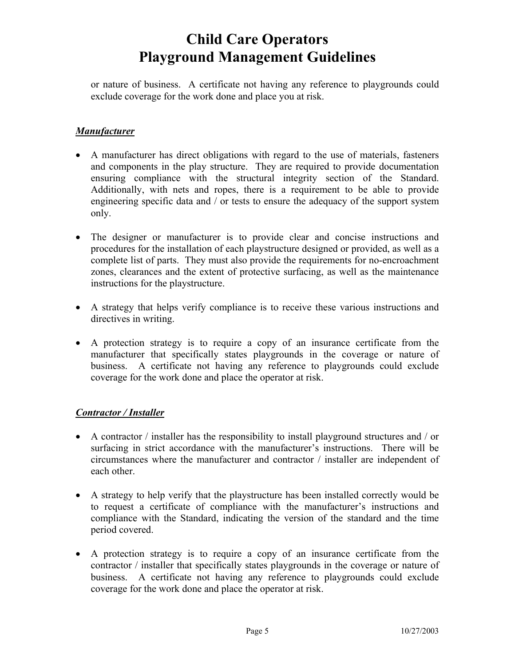or nature of business. A certificate not having any reference to playgrounds could exclude coverage for the work done and place you at risk.

#### *Manufacturer*

- A manufacturer has direct obligations with regard to the use of materials, fasteners and components in the play structure. They are required to provide documentation ensuring compliance with the structural integrity section of the Standard. Additionally, with nets and ropes, there is a requirement to be able to provide engineering specific data and / or tests to ensure the adequacy of the support system only.
- The designer or manufacturer is to provide clear and concise instructions and procedures for the installation of each playstructure designed or provided, as well as a complete list of parts. They must also provide the requirements for no-encroachment zones, clearances and the extent of protective surfacing, as well as the maintenance instructions for the playstructure.
- A strategy that helps verify compliance is to receive these various instructions and directives in writing.
- A protection strategy is to require a copy of an insurance certificate from the manufacturer that specifically states playgrounds in the coverage or nature of business. A certificate not having any reference to playgrounds could exclude coverage for the work done and place the operator at risk.

#### *Contractor / Installer*

- A contractor / installer has the responsibility to install playground structures and / or surfacing in strict accordance with the manufacturer's instructions. There will be circumstances where the manufacturer and contractor / installer are independent of each other.
- A strategy to help verify that the playstructure has been installed correctly would be to request a certificate of compliance with the manufacturer's instructions and compliance with the Standard, indicating the version of the standard and the time period covered.
- A protection strategy is to require a copy of an insurance certificate from the contractor / installer that specifically states playgrounds in the coverage or nature of business. A certificate not having any reference to playgrounds could exclude coverage for the work done and place the operator at risk.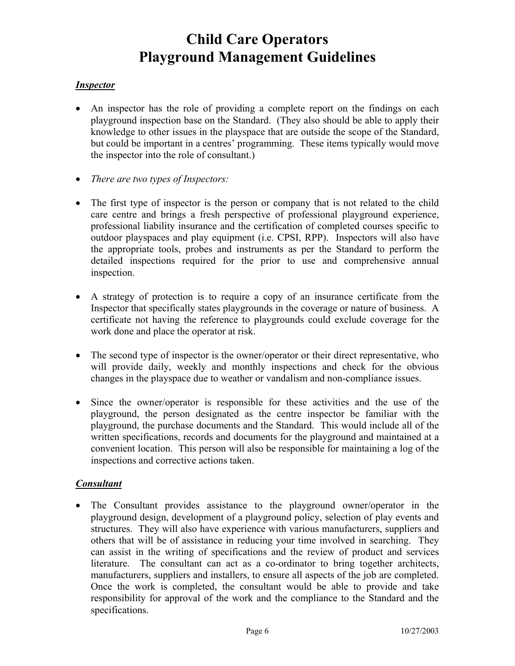#### *Inspector*

- An inspector has the role of providing a complete report on the findings on each playground inspection base on the Standard. (They also should be able to apply their knowledge to other issues in the playspace that are outside the scope of the Standard, but could be important in a centres' programming. These items typically would move the inspector into the role of consultant.)
- *There are two types of Inspectors:*
- The first type of inspector is the person or company that is not related to the child care centre and brings a fresh perspective of professional playground experience, professional liability insurance and the certification of completed courses specific to outdoor playspaces and play equipment (i.e. CPSI, RPP). Inspectors will also have the appropriate tools, probes and instruments as per the Standard to perform the detailed inspections required for the prior to use and comprehensive annual inspection.
- A strategy of protection is to require a copy of an insurance certificate from the Inspector that specifically states playgrounds in the coverage or nature of business. A certificate not having the reference to playgrounds could exclude coverage for the work done and place the operator at risk.
- The second type of inspector is the owner/operator or their direct representative, who will provide daily, weekly and monthly inspections and check for the obvious changes in the playspace due to weather or vandalism and non-compliance issues.
- Since the owner/operator is responsible for these activities and the use of the playground, the person designated as the centre inspector be familiar with the playground, the purchase documents and the Standard. This would include all of the written specifications, records and documents for the playground and maintained at a convenient location. This person will also be responsible for maintaining a log of the inspections and corrective actions taken.

#### *Consultant*

• The Consultant provides assistance to the playground owner/operator in the playground design, development of a playground policy, selection of play events and structures. They will also have experience with various manufacturers, suppliers and others that will be of assistance in reducing your time involved in searching. They can assist in the writing of specifications and the review of product and services literature. The consultant can act as a co-ordinator to bring together architects, manufacturers, suppliers and installers, to ensure all aspects of the job are completed. Once the work is completed, the consultant would be able to provide and take responsibility for approval of the work and the compliance to the Standard and the specifications.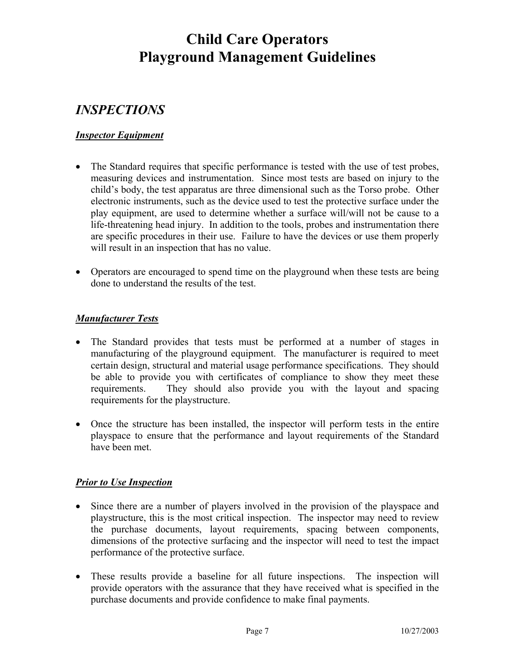### *INSPECTIONS*

#### *Inspector Equipment*

- The Standard requires that specific performance is tested with the use of test probes, measuring devices and instrumentation. Since most tests are based on injury to the child's body, the test apparatus are three dimensional such as the Torso probe. Other electronic instruments, such as the device used to test the protective surface under the play equipment, are used to determine whether a surface will/will not be cause to a life-threatening head injury. In addition to the tools, probes and instrumentation there are specific procedures in their use. Failure to have the devices or use them properly will result in an inspection that has no value.
- Operators are encouraged to spend time on the playground when these tests are being done to understand the results of the test.

#### *Manufacturer Tests*

- The Standard provides that tests must be performed at a number of stages in manufacturing of the playground equipment. The manufacturer is required to meet certain design, structural and material usage performance specifications. They should be able to provide you with certificates of compliance to show they meet these requirements. They should also provide you with the layout and spacing requirements for the playstructure.
- Once the structure has been installed, the inspector will perform tests in the entire playspace to ensure that the performance and layout requirements of the Standard have been met.

#### *Prior to Use Inspection*

- Since there are a number of players involved in the provision of the playspace and playstructure, this is the most critical inspection. The inspector may need to review the purchase documents, layout requirements, spacing between components, dimensions of the protective surfacing and the inspector will need to test the impact performance of the protective surface.
- These results provide a baseline for all future inspections. The inspection will provide operators with the assurance that they have received what is specified in the purchase documents and provide confidence to make final payments.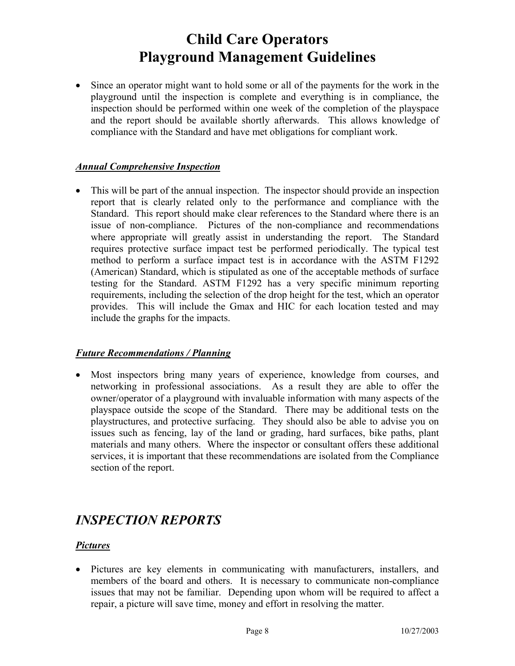• Since an operator might want to hold some or all of the payments for the work in the playground until the inspection is complete and everything is in compliance, the inspection should be performed within one week of the completion of the playspace and the report should be available shortly afterwards. This allows knowledge of compliance with the Standard and have met obligations for compliant work.

#### *Annual Comprehensive Inspection*

• This will be part of the annual inspection. The inspector should provide an inspection report that is clearly related only to the performance and compliance with the Standard. This report should make clear references to the Standard where there is an issue of non-compliance. Pictures of the non-compliance and recommendations where appropriate will greatly assist in understanding the report. The Standard requires protective surface impact test be performed periodically. The typical test method to perform a surface impact test is in accordance with the ASTM F1292 (American) Standard, which is stipulated as one of the acceptable methods of surface testing for the Standard. ASTM F1292 has a very specific minimum reporting requirements, including the selection of the drop height for the test, which an operator provides. This will include the Gmax and HIC for each location tested and may include the graphs for the impacts.

#### *Future Recommendations / Planning*

• Most inspectors bring many years of experience, knowledge from courses, and networking in professional associations. As a result they are able to offer the owner/operator of a playground with invaluable information with many aspects of the playspace outside the scope of the Standard. There may be additional tests on the playstructures, and protective surfacing. They should also be able to advise you on issues such as fencing, lay of the land or grading, hard surfaces, bike paths, plant materials and many others. Where the inspector or consultant offers these additional services, it is important that these recommendations are isolated from the Compliance section of the report.

### *INSPECTION REPORTS*

#### *Pictures*

• Pictures are key elements in communicating with manufacturers, installers, and members of the board and others. It is necessary to communicate non-compliance issues that may not be familiar. Depending upon whom will be required to affect a repair, a picture will save time, money and effort in resolving the matter.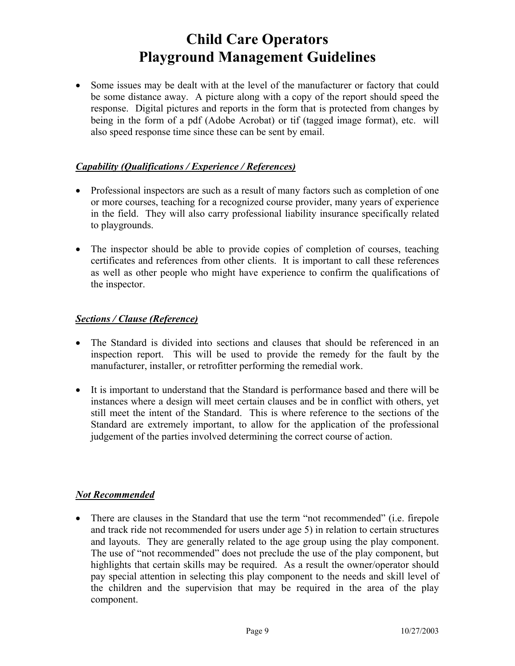• Some issues may be dealt with at the level of the manufacturer or factory that could be some distance away. A picture along with a copy of the report should speed the response. Digital pictures and reports in the form that is protected from changes by being in the form of a pdf (Adobe Acrobat) or tif (tagged image format), etc. will also speed response time since these can be sent by email.

#### *Capability (Qualifications / Experience / References)*

- Professional inspectors are such as a result of many factors such as completion of one or more courses, teaching for a recognized course provider, many years of experience in the field. They will also carry professional liability insurance specifically related to playgrounds.
- The inspector should be able to provide copies of completion of courses, teaching certificates and references from other clients. It is important to call these references as well as other people who might have experience to confirm the qualifications of the inspector.

#### *Sections / Clause (Reference)*

- The Standard is divided into sections and clauses that should be referenced in an inspection report. This will be used to provide the remedy for the fault by the manufacturer, installer, or retrofitter performing the remedial work.
- It is important to understand that the Standard is performance based and there will be instances where a design will meet certain clauses and be in conflict with others, yet still meet the intent of the Standard. This is where reference to the sections of the Standard are extremely important, to allow for the application of the professional judgement of the parties involved determining the correct course of action.

#### *Not Recommended*

• There are clauses in the Standard that use the term "not recommended" (i.e. firepole and track ride not recommended for users under age 5) in relation to certain structures and layouts. They are generally related to the age group using the play component. The use of "not recommended" does not preclude the use of the play component, but highlights that certain skills may be required. As a result the owner/operator should pay special attention in selecting this play component to the needs and skill level of the children and the supervision that may be required in the area of the play component.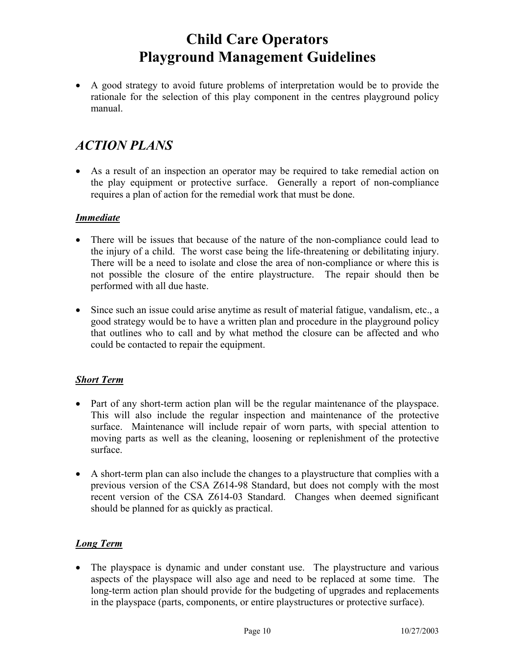• A good strategy to avoid future problems of interpretation would be to provide the rationale for the selection of this play component in the centres playground policy manual.

### *ACTION PLANS*

• As a result of an inspection an operator may be required to take remedial action on the play equipment or protective surface. Generally a report of non-compliance requires a plan of action for the remedial work that must be done.

#### *Immediate*

- There will be issues that because of the nature of the non-compliance could lead to the injury of a child. The worst case being the life-threatening or debilitating injury. There will be a need to isolate and close the area of non-compliance or where this is not possible the closure of the entire playstructure. The repair should then be performed with all due haste.
- Since such an issue could arise anytime as result of material fatigue, vandalism, etc., a good strategy would be to have a written plan and procedure in the playground policy that outlines who to call and by what method the closure can be affected and who could be contacted to repair the equipment.

#### *Short Term*

- Part of any short-term action plan will be the regular maintenance of the playspace. This will also include the regular inspection and maintenance of the protective surface. Maintenance will include repair of worn parts, with special attention to moving parts as well as the cleaning, loosening or replenishment of the protective surface.
- A short-term plan can also include the changes to a playstructure that complies with a previous version of the CSA Z614-98 Standard, but does not comply with the most recent version of the CSA Z614-03 Standard. Changes when deemed significant should be planned for as quickly as practical.

#### *Long Term*

• The playspace is dynamic and under constant use. The playstructure and various aspects of the playspace will also age and need to be replaced at some time. The long-term action plan should provide for the budgeting of upgrades and replacements in the playspace (parts, components, or entire playstructures or protective surface).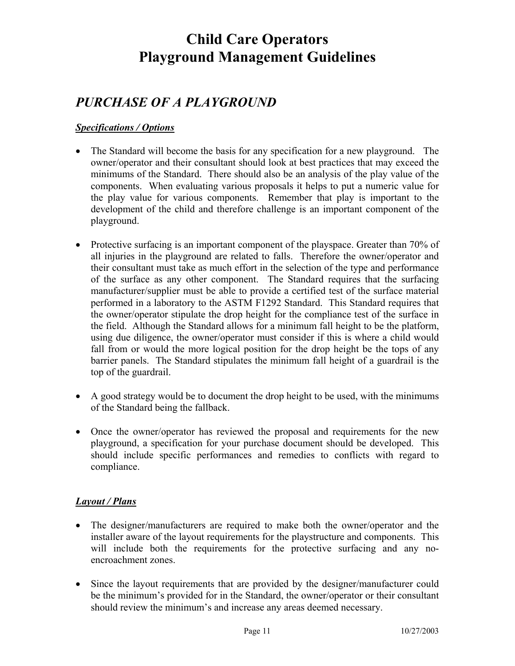### *PURCHASE OF A PLAYGROUND*

#### *Specifications / Options*

- The Standard will become the basis for any specification for a new playground. The owner/operator and their consultant should look at best practices that may exceed the minimums of the Standard. There should also be an analysis of the play value of the components. When evaluating various proposals it helps to put a numeric value for the play value for various components. Remember that play is important to the development of the child and therefore challenge is an important component of the playground.
- Protective surfacing is an important component of the playspace. Greater than 70% of all injuries in the playground are related to falls. Therefore the owner/operator and their consultant must take as much effort in the selection of the type and performance of the surface as any other component. The Standard requires that the surfacing manufacturer/supplier must be able to provide a certified test of the surface material performed in a laboratory to the ASTM F1292 Standard. This Standard requires that the owner/operator stipulate the drop height for the compliance test of the surface in the field. Although the Standard allows for a minimum fall height to be the platform, using due diligence, the owner/operator must consider if this is where a child would fall from or would the more logical position for the drop height be the tops of any barrier panels. The Standard stipulates the minimum fall height of a guardrail is the top of the guardrail.
- A good strategy would be to document the drop height to be used, with the minimums of the Standard being the fallback.
- Once the owner/operator has reviewed the proposal and requirements for the new playground, a specification for your purchase document should be developed. This should include specific performances and remedies to conflicts with regard to compliance.

#### *Layout / Plans*

- The designer/manufacturers are required to make both the owner/operator and the installer aware of the layout requirements for the playstructure and components. This will include both the requirements for the protective surfacing and any noencroachment zones.
- Since the layout requirements that are provided by the designer/manufacturer could be the minimum's provided for in the Standard, the owner/operator or their consultant should review the minimum's and increase any areas deemed necessary.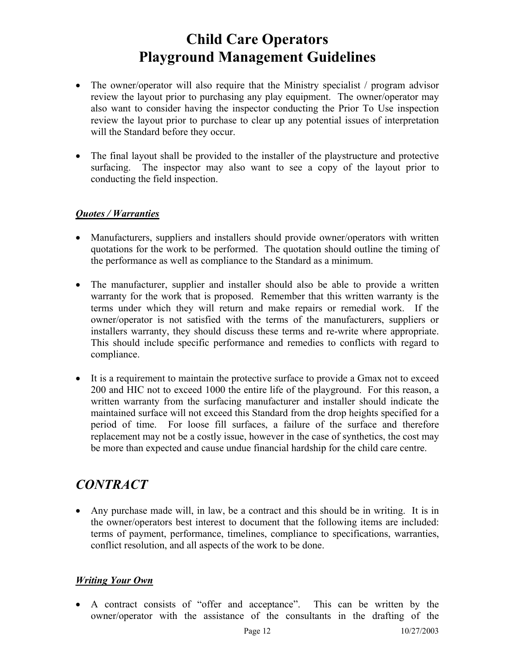- The owner/operator will also require that the Ministry specialist / program advisor review the layout prior to purchasing any play equipment. The owner/operator may also want to consider having the inspector conducting the Prior To Use inspection review the layout prior to purchase to clear up any potential issues of interpretation will the Standard before they occur.
- The final layout shall be provided to the installer of the playstructure and protective surfacing. The inspector may also want to see a copy of the layout prior to conducting the field inspection.

#### *Quotes / Warranties*

- Manufacturers, suppliers and installers should provide owner/operators with written quotations for the work to be performed. The quotation should outline the timing of the performance as well as compliance to the Standard as a minimum.
- The manufacturer, supplier and installer should also be able to provide a written warranty for the work that is proposed. Remember that this written warranty is the terms under which they will return and make repairs or remedial work. If the owner/operator is not satisfied with the terms of the manufacturers, suppliers or installers warranty, they should discuss these terms and re-write where appropriate. This should include specific performance and remedies to conflicts with regard to compliance.
- It is a requirement to maintain the protective surface to provide a Gmax not to exceed 200 and HIC not to exceed 1000 the entire life of the playground. For this reason, a written warranty from the surfacing manufacturer and installer should indicate the maintained surface will not exceed this Standard from the drop heights specified for a period of time. For loose fill surfaces, a failure of the surface and therefore replacement may not be a costly issue, however in the case of synthetics, the cost may be more than expected and cause undue financial hardship for the child care centre.

### *CONTRACT*

• Any purchase made will, in law, be a contract and this should be in writing. It is in the owner/operators best interest to document that the following items are included: terms of payment, performance, timelines, compliance to specifications, warranties, conflict resolution, and all aspects of the work to be done.

#### *Writing Your Own*

• A contract consists of "offer and acceptance". This can be written by the owner/operator with the assistance of the consultants in the drafting of the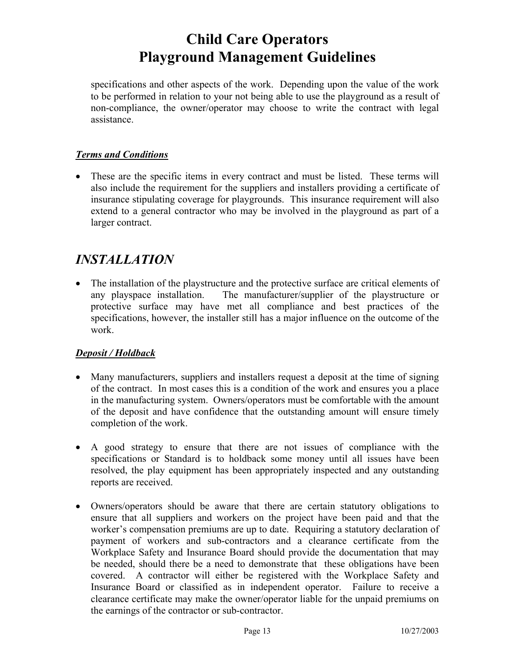specifications and other aspects of the work. Depending upon the value of the work to be performed in relation to your not being able to use the playground as a result of non-compliance, the owner/operator may choose to write the contract with legal assistance.

#### *Terms and Conditions*

• These are the specific items in every contract and must be listed. These terms will also include the requirement for the suppliers and installers providing a certificate of insurance stipulating coverage for playgrounds. This insurance requirement will also extend to a general contractor who may be involved in the playground as part of a larger contract.

### *INSTALLATION*

• The installation of the playstructure and the protective surface are critical elements of any playspace installation. The manufacturer/supplier of the playstructure or protective surface may have met all compliance and best practices of the specifications, however, the installer still has a major influence on the outcome of the work.

#### *Deposit / Holdback*

- Many manufacturers, suppliers and installers request a deposit at the time of signing of the contract. In most cases this is a condition of the work and ensures you a place in the manufacturing system. Owners/operators must be comfortable with the amount of the deposit and have confidence that the outstanding amount will ensure timely completion of the work.
- A good strategy to ensure that there are not issues of compliance with the specifications or Standard is to holdback some money until all issues have been resolved, the play equipment has been appropriately inspected and any outstanding reports are received.
- Owners/operators should be aware that there are certain statutory obligations to ensure that all suppliers and workers on the project have been paid and that the worker's compensation premiums are up to date. Requiring a statutory declaration of payment of workers and sub-contractors and a clearance certificate from the Workplace Safety and Insurance Board should provide the documentation that may be needed, should there be a need to demonstrate that these obligations have been covered. A contractor will either be registered with the Workplace Safety and Insurance Board or classified as in independent operator. Failure to receive a clearance certificate may make the owner/operator liable for the unpaid premiums on the earnings of the contractor or sub-contractor.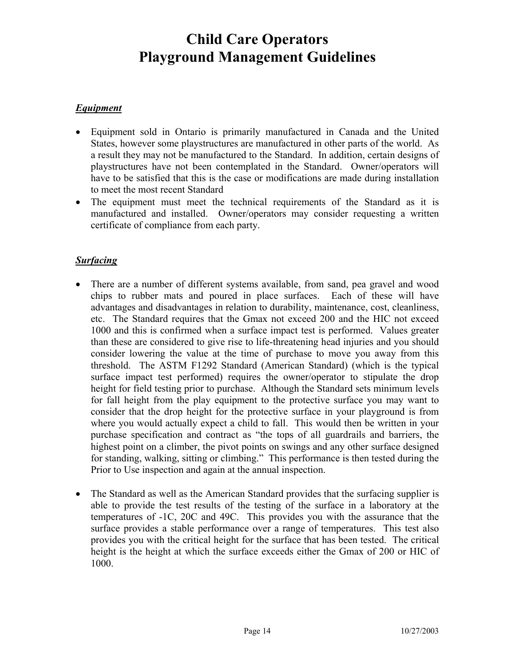#### *Equipment*

- Equipment sold in Ontario is primarily manufactured in Canada and the United States, however some playstructures are manufactured in other parts of the world. As a result they may not be manufactured to the Standard. In addition, certain designs of playstructures have not been contemplated in the Standard. Owner/operators will have to be satisfied that this is the case or modifications are made during installation to meet the most recent Standard
- The equipment must meet the technical requirements of the Standard as it is manufactured and installed. Owner/operators may consider requesting a written certificate of compliance from each party.

#### *Surfacing*

- There are a number of different systems available, from sand, pea gravel and wood chips to rubber mats and poured in place surfaces. Each of these will have advantages and disadvantages in relation to durability, maintenance, cost, cleanliness, etc. The Standard requires that the Gmax not exceed 200 and the HIC not exceed 1000 and this is confirmed when a surface impact test is performed. Values greater than these are considered to give rise to life-threatening head injuries and you should consider lowering the value at the time of purchase to move you away from this threshold. The ASTM F1292 Standard (American Standard) (which is the typical surface impact test performed) requires the owner/operator to stipulate the drop height for field testing prior to purchase. Although the Standard sets minimum levels for fall height from the play equipment to the protective surface you may want to consider that the drop height for the protective surface in your playground is from where you would actually expect a child to fall. This would then be written in your purchase specification and contract as "the tops of all guardrails and barriers, the highest point on a climber, the pivot points on swings and any other surface designed for standing, walking, sitting or climbing." This performance is then tested during the Prior to Use inspection and again at the annual inspection.
- The Standard as well as the American Standard provides that the surfacing supplier is able to provide the test results of the testing of the surface in a laboratory at the temperatures of -1C, 20C and 49C. This provides you with the assurance that the surface provides a stable performance over a range of temperatures. This test also provides you with the critical height for the surface that has been tested. The critical height is the height at which the surface exceeds either the Gmax of 200 or HIC of 1000.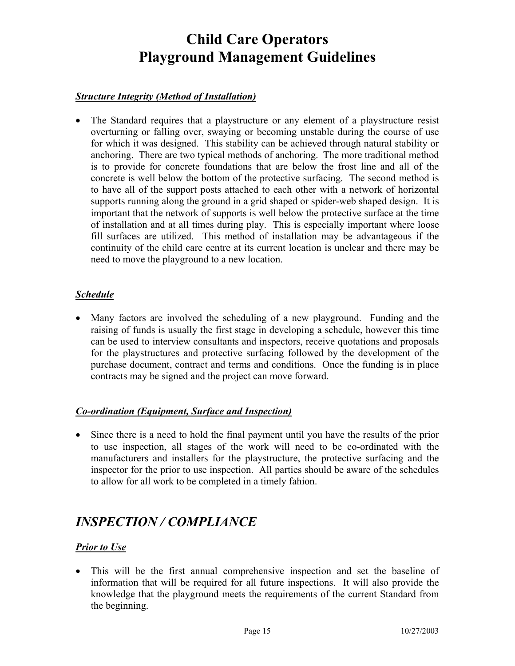#### *Structure Integrity (Method of Installation)*

• The Standard requires that a playstructure or any element of a playstructure resist overturning or falling over, swaying or becoming unstable during the course of use for which it was designed. This stability can be achieved through natural stability or anchoring. There are two typical methods of anchoring. The more traditional method is to provide for concrete foundations that are below the frost line and all of the concrete is well below the bottom of the protective surfacing. The second method is to have all of the support posts attached to each other with a network of horizontal supports running along the ground in a grid shaped or spider-web shaped design. It is important that the network of supports is well below the protective surface at the time of installation and at all times during play. This is especially important where loose fill surfaces are utilized. This method of installation may be advantageous if the continuity of the child care centre at its current location is unclear and there may be need to move the playground to a new location.

#### *Schedule*

• Many factors are involved the scheduling of a new playground. Funding and the raising of funds is usually the first stage in developing a schedule, however this time can be used to interview consultants and inspectors, receive quotations and proposals for the playstructures and protective surfacing followed by the development of the purchase document, contract and terms and conditions. Once the funding is in place contracts may be signed and the project can move forward.

#### *Co-ordination (Equipment, Surface and Inspection)*

• Since there is a need to hold the final payment until you have the results of the prior to use inspection, all stages of the work will need to be co-ordinated with the manufacturers and installers for the playstructure, the protective surfacing and the inspector for the prior to use inspection. All parties should be aware of the schedules to allow for all work to be completed in a timely fahion.

### *INSPECTION / COMPLIANCE*

#### *Prior to Use*

• This will be the first annual comprehensive inspection and set the baseline of information that will be required for all future inspections. It will also provide the knowledge that the playground meets the requirements of the current Standard from the beginning.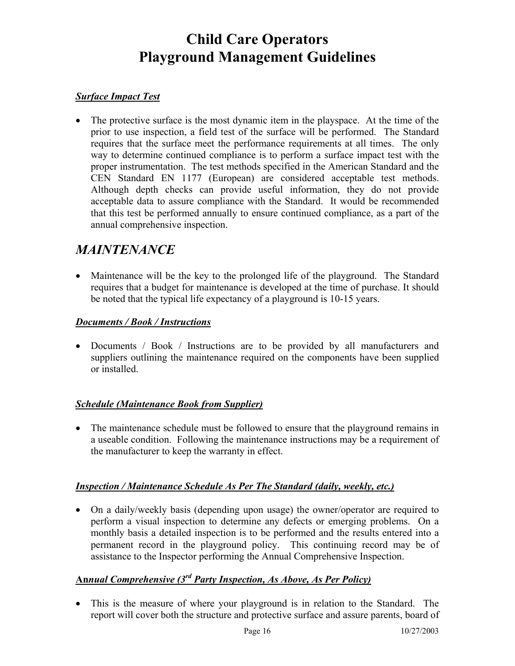#### *Surface Impact Test*

• The protective surface is the most dynamic item in the playspace. At the time of the prior to use inspection, a field test of the surface will be performed. The Standard requires that the surface meet the performance requirements at all times. The only way to determine continued compliance is to perform a surface impact test with the proper instrumentation. The test methods specified in the American Standard and the CEN Standard EN 1177 (European) are considered acceptable test methods. Although depth checks can provide useful information, they do not provide acceptable data to assure compliance with the Standard. It would be recommended that this test be performed annually to ensure continued compliance, as a part of the annual comprehensive inspection.

### *MAINTENANCE*

• Maintenance will be the key to the prolonged life of the playground. The Standard requires that a budget for maintenance is developed at the time of purchase. It should be noted that the typical life expectancy of a playground is 10-15 years.

#### *Documents / Book / Instructions*

• Documents / Book / Instructions are to be provided by all manufacturers and suppliers outlining the maintenance required on the components have been supplied or installed.

#### *Schedule (Maintenance Book from Supplier)*

• The maintenance schedule must be followed to ensure that the playground remains in a useable condition. Following the maintenance instructions may be a requirement of the manufacturer to keep the warranty in effect.

#### *Inspection / Maintenance Schedule As Per The Standard (daily, weekly, etc.)*

• On a daily/weekly basis (depending upon usage) the owner/operator are required to perform a visual inspection to determine any defects or emerging problems. On a monthly basis a detailed inspection is to be performed and the results entered into a permanent record in the playground policy. This continuing record may be of assistance to the Inspector performing the Annual Comprehensive Inspection.

#### **An***nual Comprehensive (3rd Party Inspection, As Above, As Per Policy)*

• This is the measure of where your playground is in relation to the Standard. The report will cover both the structure and protective surface and assure parents, board of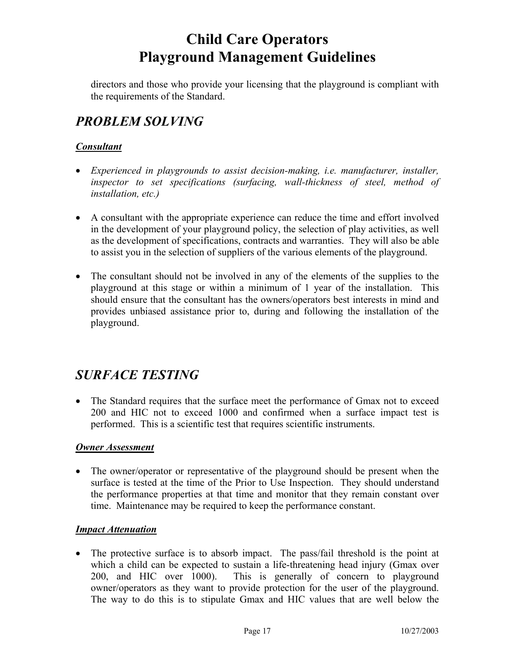directors and those who provide your licensing that the playground is compliant with the requirements of the Standard.

### *PROBLEM SOLVING*

#### *Consultant*

- *Experienced in playgrounds to assist decision-making, i.e. manufacturer, installer, inspector to set specifications (surfacing, wall-thickness of steel, method of installation, etc.)*
- A consultant with the appropriate experience can reduce the time and effort involved in the development of your playground policy, the selection of play activities, as well as the development of specifications, contracts and warranties. They will also be able to assist you in the selection of suppliers of the various elements of the playground.
- The consultant should not be involved in any of the elements of the supplies to the playground at this stage or within a minimum of 1 year of the installation. This should ensure that the consultant has the owners/operators best interests in mind and provides unbiased assistance prior to, during and following the installation of the playground.

### *SURFACE TESTING*

• The Standard requires that the surface meet the performance of Gmax not to exceed 200 and HIC not to exceed 1000 and confirmed when a surface impact test is performed. This is a scientific test that requires scientific instruments.

#### *Owner Assessment*

• The owner/operator or representative of the playground should be present when the surface is tested at the time of the Prior to Use Inspection. They should understand the performance properties at that time and monitor that they remain constant over time. Maintenance may be required to keep the performance constant.

#### *Impact Attenuation*

• The protective surface is to absorb impact. The pass/fail threshold is the point at which a child can be expected to sustain a life-threatening head injury (Gmax over 200, and HIC over 1000). This is generally of concern to playground owner/operators as they want to provide protection for the user of the playground. The way to do this is to stipulate Gmax and HIC values that are well below the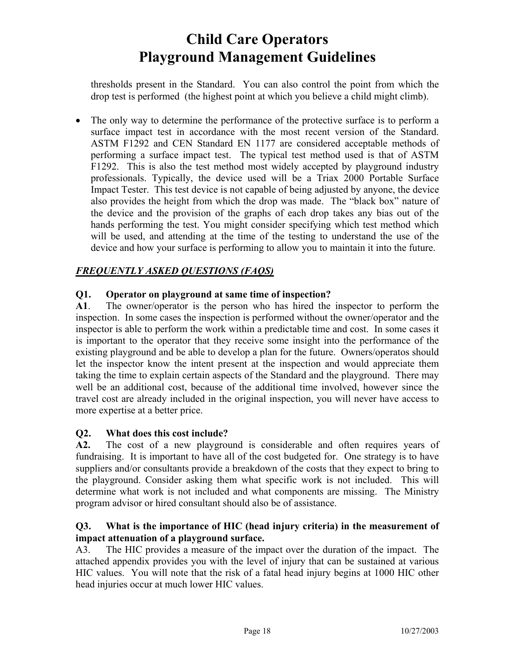thresholds present in the Standard. You can also control the point from which the drop test is performed (the highest point at which you believe a child might climb).

• The only way to determine the performance of the protective surface is to perform a surface impact test in accordance with the most recent version of the Standard. ASTM F1292 and CEN Standard EN 1177 are considered acceptable methods of performing a surface impact test. The typical test method used is that of ASTM F1292. This is also the test method most widely accepted by playground industry professionals. Typically, the device used will be a Triax 2000 Portable Surface Impact Tester. This test device is not capable of being adjusted by anyone, the device also provides the height from which the drop was made. The "black box" nature of the device and the provision of the graphs of each drop takes any bias out of the hands performing the test. You might consider specifying which test method which will be used, and attending at the time of the testing to understand the use of the device and how your surface is performing to allow you to maintain it into the future.

#### *FREQUENTLY ASKED QUESTIONS (FAQS)*

#### **Q1. Operator on playground at same time of inspection?**

**A1**. The owner/operator is the person who has hired the inspector to perform the inspection. In some cases the inspection is performed without the owner/operator and the inspector is able to perform the work within a predictable time and cost. In some cases it is important to the operator that they receive some insight into the performance of the existing playground and be able to develop a plan for the future. Owners/operatos should let the inspector know the intent present at the inspection and would appreciate them taking the time to explain certain aspects of the Standard and the playground. There may well be an additional cost, because of the additional time involved, however since the travel cost are already included in the original inspection, you will never have access to more expertise at a better price.

#### **Q2. What does this cost include?**

**A2.** The cost of a new playground is considerable and often requires years of fundraising. It is important to have all of the cost budgeted for. One strategy is to have suppliers and/or consultants provide a breakdown of the costs that they expect to bring to the playground. Consider asking them what specific work is not included. This will determine what work is not included and what components are missing. The Ministry program advisor or hired consultant should also be of assistance.

#### **Q3. What is the importance of HIC (head injury criteria) in the measurement of impact attenuation of a playground surface.**

A3. The HIC provides a measure of the impact over the duration of the impact. The attached appendix provides you with the level of injury that can be sustained at various HIC values. You will note that the risk of a fatal head injury begins at 1000 HIC other head injuries occur at much lower HIC values.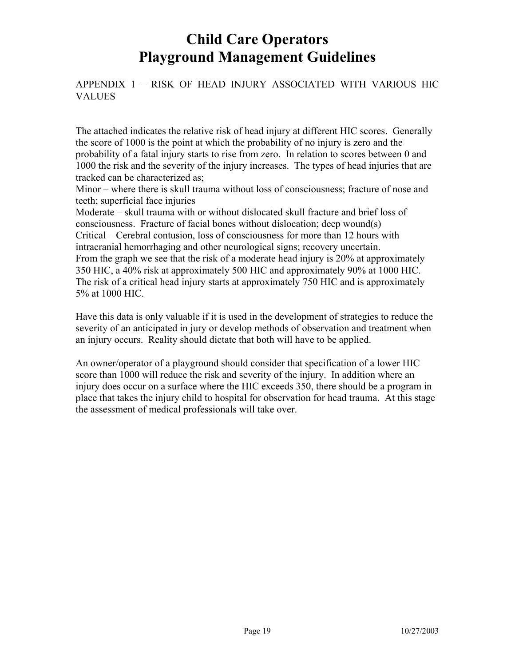APPENDIX 1 – RISK OF HEAD INJURY ASSOCIATED WITH VARIOUS HIC VALUES

The attached indicates the relative risk of head injury at different HIC scores. Generally the score of 1000 is the point at which the probability of no injury is zero and the probability of a fatal injury starts to rise from zero. In relation to scores between 0 and 1000 the risk and the severity of the injury increases. The types of head injuries that are tracked can be characterized as;

Minor – where there is skull trauma without loss of consciousness; fracture of nose and teeth; superficial face injuries

Moderate – skull trauma with or without dislocated skull fracture and brief loss of consciousness. Fracture of facial bones without dislocation; deep wound(s) Critical – Cerebral contusion, loss of consciousness for more than 12 hours with intracranial hemorrhaging and other neurological signs; recovery uncertain. From the graph we see that the risk of a moderate head injury is 20% at approximately 350 HIC, a 40% risk at approximately 500 HIC and approximately 90% at 1000 HIC. The risk of a critical head injury starts at approximately 750 HIC and is approximately 5% at 1000 HIC.

Have this data is only valuable if it is used in the development of strategies to reduce the severity of an anticipated in jury or develop methods of observation and treatment when an injury occurs. Reality should dictate that both will have to be applied.

An owner/operator of a playground should consider that specification of a lower HIC score than 1000 will reduce the risk and severity of the injury. In addition where an injury does occur on a surface where the HIC exceeds 350, there should be a program in place that takes the injury child to hospital for observation for head trauma. At this stage the assessment of medical professionals will take over.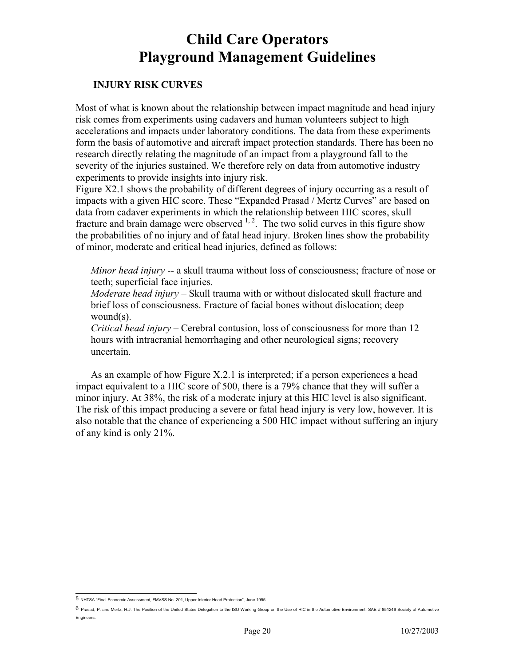#### **INJURY RISK CURVES**

Most of what is known about the relationship between impact magnitude and head injury risk comes from experiments using cadavers and human volunteers subject to high accelerations and impacts under laboratory conditions. The data from these experiments form the basis of automotive and aircraft impact protection standards. There has been no research directly relating the magnitude of an impact from a playground fall to the severity of the injuries sustained. We therefore rely on data from automotive industry experiments to provide insights into injury risk.

Figure X2.1 shows the probability of different degrees of injury occurring as a result of impacts with a given HIC score. These "Expanded Prasad / Mertz Curves" are based on data from cadaver experiments in which the relationship between HIC scores, skull fracture and brain damage were observed  $1, 2$ . The two solid curves in this figure show the probabilities of no injury and of fatal head injury. Broken lines show the probability of minor, moderate and critical head injuries, defined as follows:

*Minor head injury* -- a skull trauma without loss of consciousness; fracture of nose or teeth; superficial face injuries.

*Moderate head injury* – Skull trauma with or without dislocated skull fracture and brief loss of consciousness. Fracture of facial bones without dislocation; deep wound(s).

*Critical head injury* – Cerebral contusion, loss of consciousness for more than 12 hours with intracranial hemorrhaging and other neurological signs; recovery uncertain.

As an example of how Figure X.2.1 is interpreted; if a person experiences a head impact equivalent to a HIC score of 500, there is a 79% chance that they will suffer a minor injury. At 38%, the risk of a moderate injury at this HIC level is also significant. The risk of this impact producing a severe or fatal head injury is very low, however. It is also notable that the chance of experiencing a 500 HIC impact without suffering an injury of any kind is only 21%.

 5 NHTSA "Final Economic Assessment, FMVSS No. 201, Upper Interior Head Protection", June 1995.

<sup>6</sup> Prasad, P. and Mertz, H.J. The Position of the United States Delegation to the ISO Working Group on the Use of HIC in the Automotive Environment. SAE # 851246 Society of Automotive Engineers.